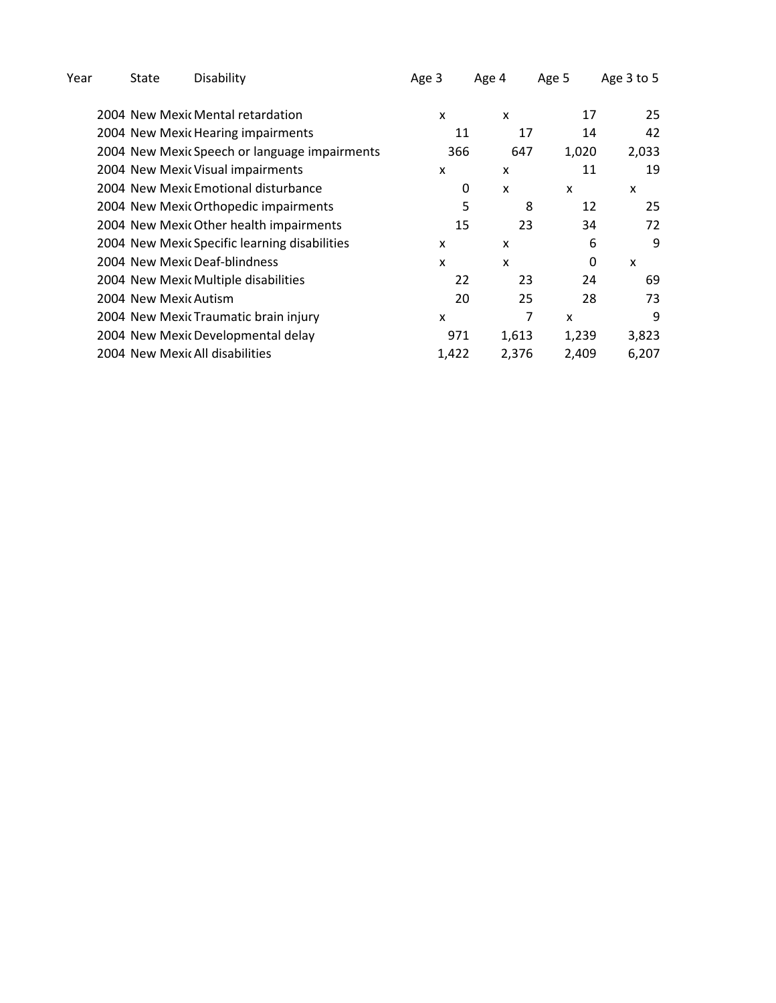| State | Age 3                                                                                                                                                                                                                                                                                                                                                                                                                                                                                                                                                                        | Age 4 | Age 5                                                 | Age 3 to 5 |
|-------|------------------------------------------------------------------------------------------------------------------------------------------------------------------------------------------------------------------------------------------------------------------------------------------------------------------------------------------------------------------------------------------------------------------------------------------------------------------------------------------------------------------------------------------------------------------------------|-------|-------------------------------------------------------|------------|
|       | x                                                                                                                                                                                                                                                                                                                                                                                                                                                                                                                                                                            | X     | 17                                                    | 25         |
|       |                                                                                                                                                                                                                                                                                                                                                                                                                                                                                                                                                                              | 17    | 14                                                    | 42         |
|       |                                                                                                                                                                                                                                                                                                                                                                                                                                                                                                                                                                              | 647   | 1,020                                                 | 2,033      |
|       | x                                                                                                                                                                                                                                                                                                                                                                                                                                                                                                                                                                            | X     | 11                                                    | 19         |
|       |                                                                                                                                                                                                                                                                                                                                                                                                                                                                                                                                                                              | X     | X                                                     | x          |
|       |                                                                                                                                                                                                                                                                                                                                                                                                                                                                                                                                                                              | 8     | 12                                                    | 25         |
|       |                                                                                                                                                                                                                                                                                                                                                                                                                                                                                                                                                                              | 23    | 34                                                    | 72         |
|       | x                                                                                                                                                                                                                                                                                                                                                                                                                                                                                                                                                                            | x     | 6                                                     | 9          |
|       | X                                                                                                                                                                                                                                                                                                                                                                                                                                                                                                                                                                            | X     | 0                                                     | X          |
|       |                                                                                                                                                                                                                                                                                                                                                                                                                                                                                                                                                                              | 23    | 24                                                    | 69         |
|       |                                                                                                                                                                                                                                                                                                                                                                                                                                                                                                                                                                              | 25    | 28                                                    | 73         |
|       | X                                                                                                                                                                                                                                                                                                                                                                                                                                                                                                                                                                            | 7     | X                                                     | 9          |
|       |                                                                                                                                                                                                                                                                                                                                                                                                                                                                                                                                                                              | 1,613 | 1,239                                                 | 3,823      |
|       |                                                                                                                                                                                                                                                                                                                                                                                                                                                                                                                                                                              | 2,376 | 2,409                                                 | 6,207      |
|       | Disability<br>2004 New Mexic Mental retardation<br>2004 New Mexic Hearing impairments<br>2004 New Mexic Speech or language impairments<br>2004 New Mexic Visual impairments<br>2004 New Mexic Emotional disturbance<br>2004 New Mexic Orthopedic impairments<br>2004 New Mexic Other health impairments<br>2004 New Mexic Specific learning disabilities<br>2004 New Mexic Deaf-blindness<br>2004 New Mexic Multiple disabilities<br>2004 New Mexic Autism<br>2004 New Mexic Traumatic brain injury<br>2004 New Mexic Developmental delay<br>2004 New Mexic All disabilities |       | 11<br>366<br>0<br>5<br>15<br>22<br>20<br>971<br>1,422 |            |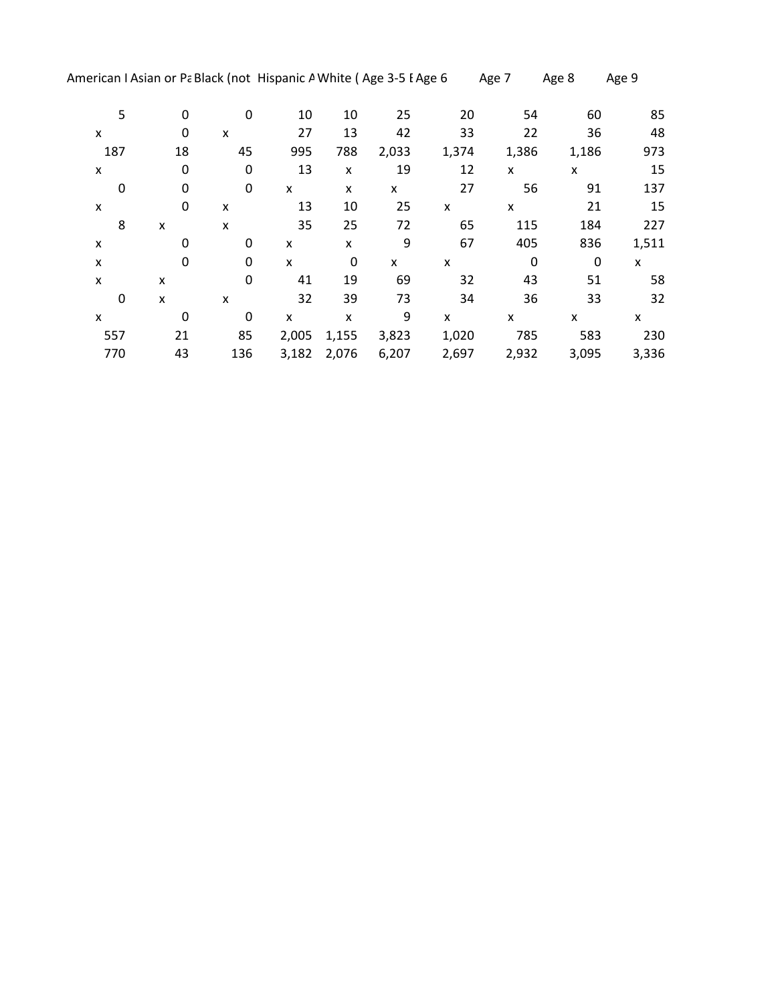| 5   | 0  | 0   | 10             | 10    | 25    | 20    | 54    | 60    | 85    |
|-----|----|-----|----------------|-------|-------|-------|-------|-------|-------|
| X   | 0  | X   | 27             | 13    | 42    | 33    | 22    | 36    | 48    |
| 187 | 18 | 45  | 995            | 788   | 2,033 | 1,374 | 1,386 | 1,186 | 973   |
| X   | 0  | 0   | 13             | X     | 19    | 12    | x     | x     | 15    |
| 0   | 0  | 0   | X              | X     | x     | 27    | 56    | 91    | 137   |
| X   | 0  | X   | 13             | 10    | 25    | x     | x     | 21    | 15    |
| 8   | X  | X   | 35             | 25    | 72    | 65    | 115   | 184   | 227   |
| x   | 0  | 0   | X              | X     | 9     | 67    | 405   | 836   | 1,511 |
| X   | 0  | 0   | $\pmb{\times}$ | 0     | X     | X     | 0     | 0     | X     |
| X   | X  | 0   | 41             | 19    | 69    | 32    | 43    | 51    | 58    |
| 0   | X  | X   | 32             | 39    | 73    | 34    | 36    | 33    | 32    |
| x   | 0  | 0   | X              | X     | 9     | x     | x     | x     | x     |
| 557 | 21 | 85  | 2,005          | 1,155 | 3,823 | 1,020 | 785   | 583   | 230   |
| 770 | 43 | 136 | 3,182          | 2,076 | 6,207 | 2,697 | 2,932 | 3,095 | 3,336 |
|     |    |     |                |       |       |       |       |       |       |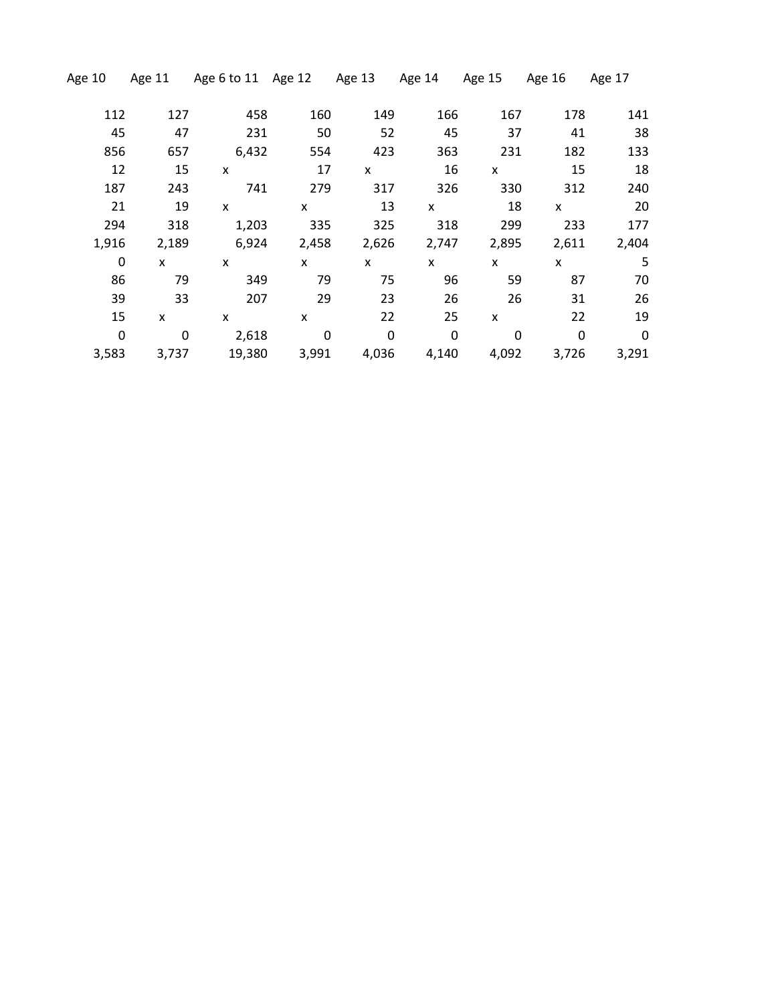| Age 10      | Age 11 | Age 6 to 11 Age 12 |             | Age 13 | Age 14 | Age 15 | Age 16 | Age 17      |
|-------------|--------|--------------------|-------------|--------|--------|--------|--------|-------------|
| 112         | 127    | 458                | 160         | 149    | 166    | 167    | 178    | 141         |
| 45          | 47     | 231                | 50          | 52     | 45     | 37     | 41     | 38          |
| 856         | 657    | 6,432              | 554         | 423    | 363    | 231    | 182    | 133         |
| 12          | 15     | X                  | 17          | X      | 16     | X      | 15     | 18          |
| 187         | 243    | 741                | 279         | 317    | 326    | 330    | 312    | 240         |
| 21          | 19     | X                  | x           | 13     | X      | 18     | X      | 20          |
| 294         | 318    | 1,203              | 335         | 325    | 318    | 299    | 233    | 177         |
| 1,916       | 2,189  | 6,924              | 2,458       | 2,626  | 2,747  | 2,895  | 2,611  | 2,404       |
| 0           | X      | x                  | X           | X      | X      | X      | X      | 5           |
| 86          | 79     | 349                | 79          | 75     | 96     | 59     | 87     | 70          |
| 39          | 33     | 207                | 29          | 23     | 26     | 26     | 31     | 26          |
| 15          | X      | X                  | X           | 22     | 25     | X      | 22     | 19          |
| $\mathbf 0$ | 0      | 2,618              | $\mathbf 0$ | 0      | 0      | 0      | 0      | $\mathbf 0$ |
| 3,583       | 3,737  | 19,380             | 3,991       | 4,036  | 4,140  | 4,092  | 3,726  | 3,291       |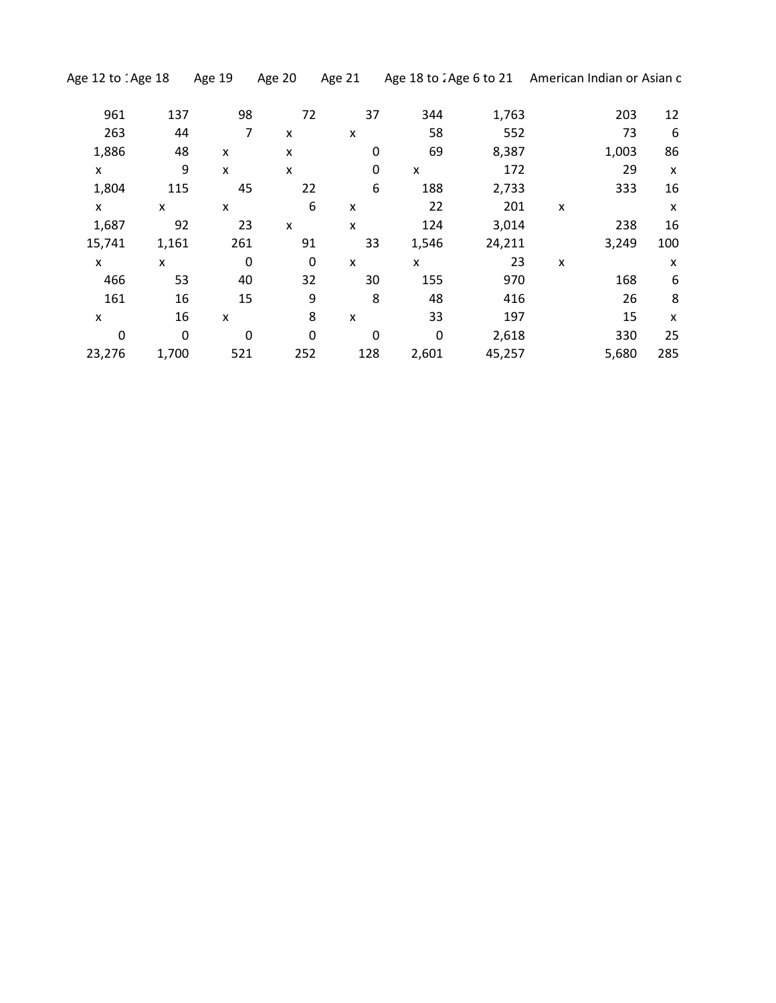| 961    | 137         | 98  | 72          | 37  | 344         | 1,763  |   | 203   | 12  |
|--------|-------------|-----|-------------|-----|-------------|--------|---|-------|-----|
| 263    | 44          | 7   | X           | X   | 58          | 552    |   | 73    | 6   |
| 1,886  | 48          | X   | x           | 0   | 69          | 8,387  |   | 1,003 | 86  |
| x      | 9           | x   | X           | 0   | X           | 172    |   | 29    | X   |
| 1,804  | 115         | 45  | 22          | 6   | 188         | 2,733  |   | 333   | 16  |
| x      | x           | x   | 6           | X   | 22          | 201    | X |       | X   |
| 1,687  | 92          | 23  | X           | X   | 124         | 3,014  |   | 238   | 16  |
| 15,741 | 1,161       | 261 | 91          | 33  | 1,546       | 24,211 |   | 3,249 | 100 |
| X      | X           | 0   | $\mathbf 0$ | X   | X           | 23     | X |       | X   |
| 466    | 53          | 40  | 32          | 30  | 155         | 970    |   | 168   | 6   |
| 161    | 16          | 15  | 9           | 8   | 48          | 416    |   | 26    | 8   |
| X      | 16          | X   | 8           | X   | 33          | 197    |   | 15    | X   |
| 0      | $\mathbf 0$ | 0   | 0           | 0   | $\mathbf 0$ | 2,618  |   | 330   | 25  |
| 23,276 | 1,700       | 521 | 252         | 128 | 2,601       | 45,257 |   | 5,680 | 285 |